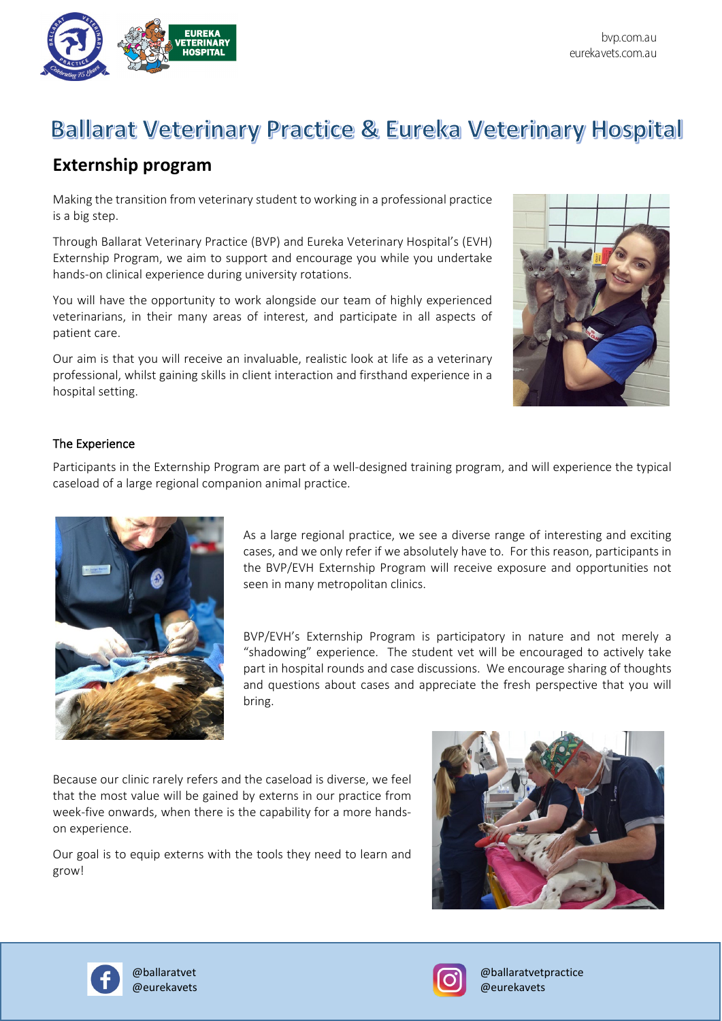

## **Ballarat Veterinary Practice & Eureka Veterinary Hospital**

## **Externship program**

Making the transition from veterinary student to working in a professional practice is a big step.

Through Ballarat Veterinary Practice (BVP) and Eureka Veterinary Hospital's (EVH) Externship Program, we aim to support and encourage you while you undertake hands-on clinical experience during university rotations.

You will have the opportunity to work alongside our team of highly experienced veterinarians, in their many areas of interest, and participate in all aspects of patient care.

Our aim is that you will receive an invaluable, realistic look at life as a veterinary professional, whilst gaining skills in client interaction and firsthand experience in a hospital setting.



## The Experience

Participants in the Externship Program are part of a well-designed training program, and will experience the typical caseload of a large regional companion animal practice.



As a large regional practice, we see a diverse range of interesting and exciting cases, and we only refer if we absolutely have to. For this reason, participants in the BVP/EVH Externship Program will receive exposure and opportunities not seen in many metropolitan clinics.

BVP/EVH's Externship Program is participatory in nature and not merely a "shadowing" experience. The student vet will be encouraged to actively take part in hospital rounds and case discussions. We encourage sharing of thoughts and questions about cases and appreciate the fresh perspective that you will bring.

Because our clinic rarely refers and the caseload is diverse, we feel that the most value will be gained by externs in our practice from week-five onwards, when there is the capability for a more handson experience.

Our goal is to equip externs with the tools they need to learn and grow!







@ballaratvet @ballaratvetpractice @eurekavets @eurekavets